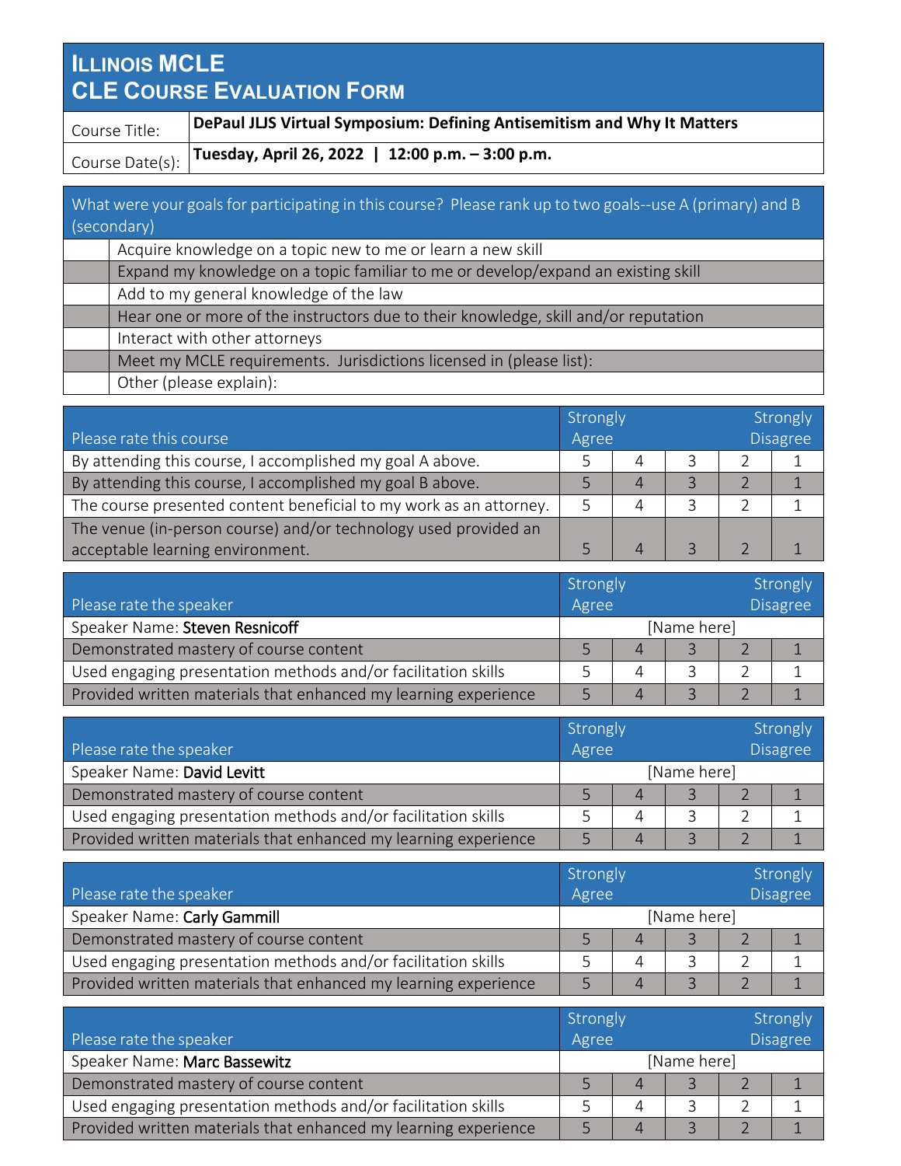## **ILLINOIS MCLE CLE COURSE EVALUATION FORM**

Course Title: **DePaul JLJS Virtual Symposium: Defining Antisemitism and Why It Matters** Course Date(s): **Tuesday, April 26, 2022 | 12:00 p.m. – 3:00 p.m.**

| What were your goals for participating in this course? Please rank up to two goals--use A (primary) and B |
|-----------------------------------------------------------------------------------------------------------|
| (secondary)                                                                                               |
| Acquire knowledge on a topic new to me or learn a new skill                                               |
| Expand my knowledge on a topic familiar to me or develop/expand an existing skill                         |
| Add to my general knowledge of the law                                                                    |
| Hear one or more of the instructors due to their knowledge, skill and/or reputation                       |
| Interact with other attorneys                                                                             |
| Meet my MCLE requirements. Jurisdictions licensed in (please list):                                       |
| Other (please explain):                                                                                   |

|                                                                    | Strongly |   |  | Strongly        |  |  |
|--------------------------------------------------------------------|----------|---|--|-----------------|--|--|
| Please rate this course                                            | Agree    |   |  | <b>Disagree</b> |  |  |
| By attending this course, I accomplished my goal A above.          |          | 4 |  |                 |  |  |
| By attending this course, I accomplished my goal B above.          |          |   |  |                 |  |  |
| The course presented content beneficial to my work as an attorney. |          | 4 |  |                 |  |  |
| The venue (in-person course) and/or technology used provided an    |          |   |  |                 |  |  |
| acceptable learning environment.                                   |          |   |  |                 |  |  |

|                                                                 | Strongly |             |          | Strongly |  |  |
|-----------------------------------------------------------------|----------|-------------|----------|----------|--|--|
| Please rate the speaker                                         | Agree    |             | Disagree |          |  |  |
| Speaker Name: Steven Resnicoff                                  |          | [Name here] |          |          |  |  |
| Demonstrated mastery of course content                          |          |             |          |          |  |  |
| Used engaging presentation methods and/or facilitation skills   |          | 4           |          |          |  |  |
| Provided written materials that enhanced my learning experience |          |             |          |          |  |  |

|                                                                 | Strongly |             |                 | Strongly |  |  |
|-----------------------------------------------------------------|----------|-------------|-----------------|----------|--|--|
| Please rate the speaker                                         | Agree    |             | <b>Disagree</b> |          |  |  |
| Speaker Name: David Levitt                                      |          | [Name here] |                 |          |  |  |
| Demonstrated mastery of course content                          |          |             |                 |          |  |  |
| Used engaging presentation methods and/or facilitation skills   |          |             |                 |          |  |  |
| Provided written materials that enhanced my learning experience |          |             |                 |          |  |  |

|                                                                 | Strongly |             |  | Strongly        |  |  |
|-----------------------------------------------------------------|----------|-------------|--|-----------------|--|--|
| Please rate the speaker                                         | Agree    |             |  | <b>Disagree</b> |  |  |
| Speaker Name: Carly Gammill                                     |          | [Name here] |  |                 |  |  |
| Demonstrated mastery of course content                          |          | 4           |  |                 |  |  |
| Used engaging presentation methods and/or facilitation skills   |          | 4           |  |                 |  |  |
| Provided written materials that enhanced my learning experience |          |             |  |                 |  |  |

|                                                                 | Strongly |             |  | Strongly |                 |  |  |
|-----------------------------------------------------------------|----------|-------------|--|----------|-----------------|--|--|
| Please rate the speaker                                         | Agree    |             |  |          | <b>Disagree</b> |  |  |
| Speaker Name: Marc Bassewitz                                    |          | [Name here] |  |          |                 |  |  |
| Demonstrated mastery of course content                          |          |             |  |          |                 |  |  |
| Used engaging presentation methods and/or facilitation skills   |          |             |  |          |                 |  |  |
| Provided written materials that enhanced my learning experience |          |             |  |          |                 |  |  |